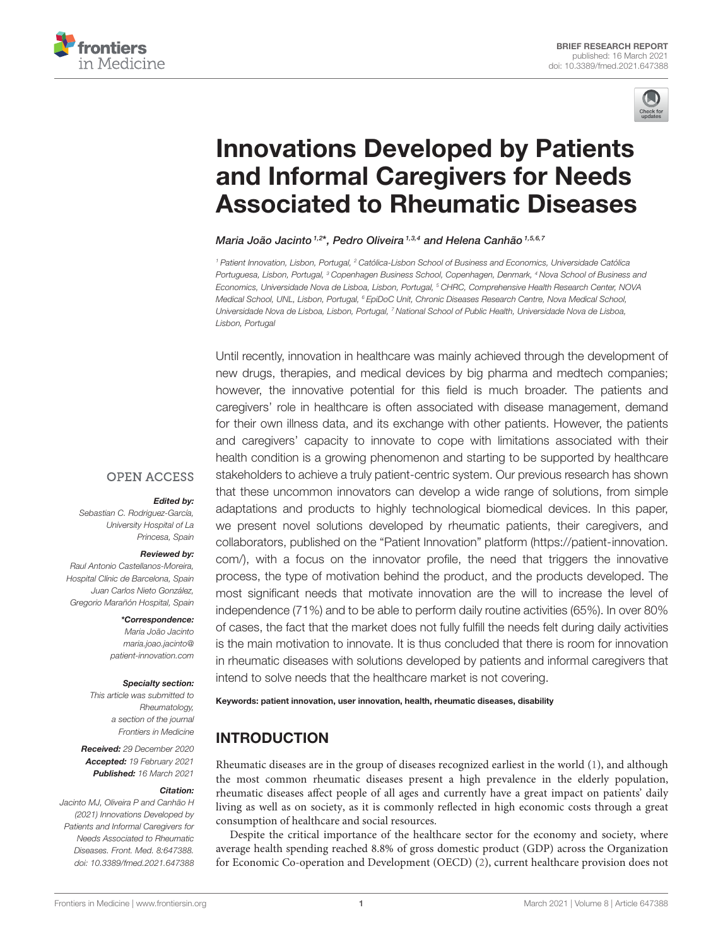



# Innovations Developed by Patients [and Informal Caregivers for Needs](https://www.frontiersin.org/articles/10.3389/fmed.2021.647388/full) Associated to Rheumatic Diseases

Maria João Jacinto 1,2\*, Pedro Oliveira 1,3,4 and Helena Canhão 1,5,6,7

<sup>1</sup> Patient Innovation, Lisbon, Portugal, <sup>2</sup> Católica-Lisbon School of Business and Economics, Universidade Católica Portuguesa, Lisbon, Portugal, <sup>3</sup> Copenhagen Business School, Copenhagen, Denmark, <sup>4</sup> Nova School of Business and Economics, Universidade Nova de Lisboa, Lisbon, Portugal, <sup>5</sup> CHRC, Comprehensive Health Research Center, NOVA Medical School, UNL, Lisbon, Portugal, <sup>6</sup> EpiDoC Unit, Chronic Diseases Research Centre, Nova Medical School, Universidade Nova de Lisboa, Lisbon, Portugal, <sup>7</sup> National School of Public Health, Universidade Nova de Lisboa, Lisbon, Portugal

Until recently, innovation in healthcare was mainly achieved through the development of new drugs, therapies, and medical devices by big pharma and medtech companies; however, the innovative potential for this field is much broader. The patients and caregivers' role in healthcare is often associated with disease management, demand for their own illness data, and its exchange with other patients. However, the patients and caregivers' capacity to innovate to cope with limitations associated with their health condition is a growing phenomenon and starting to be supported by healthcare stakeholders to achieve a truly patient-centric system. Our previous research has shown that these uncommon innovators can develop a wide range of solutions, from simple adaptations and products to highly technological biomedical devices. In this paper, we present novel solutions developed by rheumatic patients, their caregivers, and collaborators, published on the "Patient Innovation" platform [\(https://patient-innovation.](https://patient-innovation.com/) [com/\)](https://patient-innovation.com/), with a focus on the innovator profile, the need that triggers the innovative process, the type of motivation behind the product, and the products developed. The most significant needs that motivate innovation are the will to increase the level of independence (71%) and to be able to perform daily routine activities (65%). In over 80% of cases, the fact that the market does not fully fulfill the needs felt during daily activities is the main motivation to innovate. It is thus concluded that there is room for innovation in rheumatic diseases with solutions developed by patients and informal caregivers that intend to solve needs that the healthcare market is not covering.

### Keywords: patient innovation, user innovation, health, rheumatic diseases, disability

## INTRODUCTION

Rheumatic diseases are in the group of diseases recognized earliest in the world [\(1\)](#page-4-0), and although the most common rheumatic diseases present a high prevalence in the elderly population, rheumatic diseases affect people of all ages and currently have a great impact on patients' daily living as well as on society, as it is commonly reflected in high economic costs through a great consumption of healthcare and social resources.

Despite the critical importance of the healthcare sector for the economy and society, where average health spending reached 8.8% of gross domestic product (GDP) across the Organization for Economic Co-operation and Development (OECD) [\(2\)](#page-4-1), current healthcare provision does not

## **OPEN ACCESS**

## Edited by:

Sebastian C. Rodriguez-García, University Hospital of La Princesa, Spain

### Reviewed by:

Raul Antonio Castellanos-Moreira, Hospital Clínic de Barcelona, Spain Juan Carlos Nieto González, Gregorio Marañón Hospital, Spain

\*Correspondence:

Maria João Jacinto [maria.joao.jacinto@](mailto:maria.joao.jacinto@patient-innovation.com) [patient-innovation.com](mailto:maria.joao.jacinto@patient-innovation.com)

### Specialty section:

This article was submitted to Rheumatology, a section of the journal Frontiers in Medicine

Received: 29 December 2020 Accepted: 19 February 2021 Published: 16 March 2021

#### Citation:

Jacinto MJ, Oliveira P and Canhão H (2021) Innovations Developed by Patients and Informal Caregivers for Needs Associated to Rheumatic Diseases. Front. Med. 8:647388. doi: [10.3389/fmed.2021.647388](https://doi.org/10.3389/fmed.2021.647388)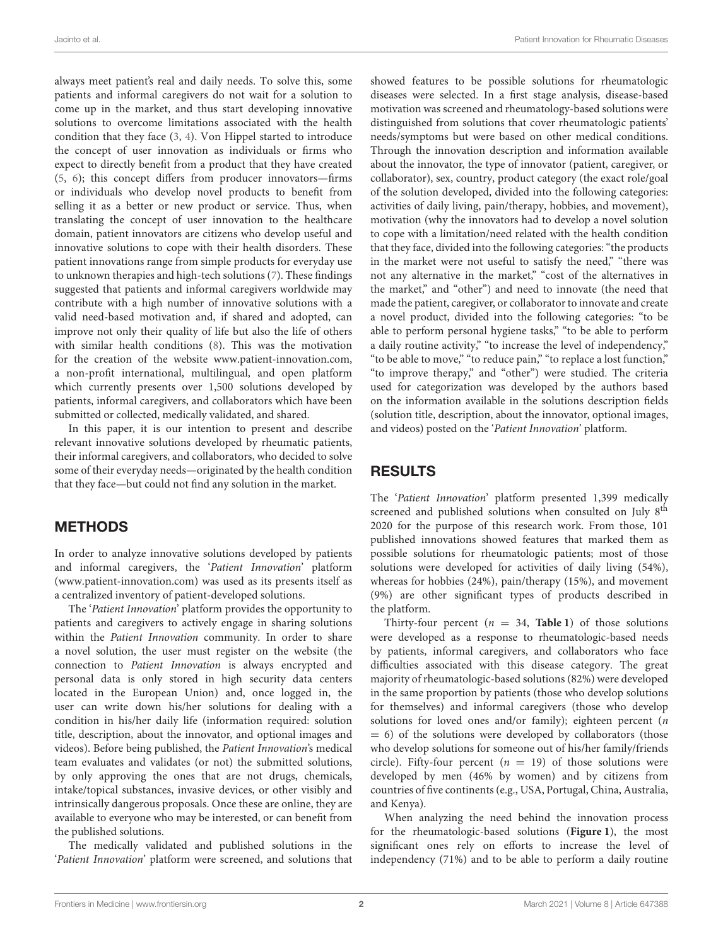always meet patient's real and daily needs. To solve this, some patients and informal caregivers do not wait for a solution to come up in the market, and thus start developing innovative solutions to overcome limitations associated with the health condition that they face [\(3,](#page-4-2) [4\)](#page-4-3). Von Hippel started to introduce the concept of user innovation as individuals or firms who expect to directly benefit from a product that they have created [\(5,](#page-4-4) [6\)](#page-4-5); this concept differs from producer innovators—firms or individuals who develop novel products to benefit from selling it as a better or new product or service. Thus, when translating the concept of user innovation to the healthcare domain, patient innovators are citizens who develop useful and innovative solutions to cope with their health disorders. These patient innovations range from simple products for everyday use to unknown therapies and high-tech solutions [\(7\)](#page-4-6). These findings suggested that patients and informal caregivers worldwide may contribute with a high number of innovative solutions with a valid need-based motivation and, if shared and adopted, can improve not only their quality of life but also the life of others with similar health conditions [\(8\)](#page-4-7). This was the motivation for the creation of the website [www.patient-innovation.com,](http://www.patient-innovation.com) a non-profit international, multilingual, and open platform which currently presents over 1,500 solutions developed by patients, informal caregivers, and collaborators which have been submitted or collected, medically validated, and shared.

In this paper, it is our intention to present and describe relevant innovative solutions developed by rheumatic patients, their informal caregivers, and collaborators, who decided to solve some of their everyday needs—originated by the health condition that they face—but could not find any solution in the market.

## METHODS

In order to analyze innovative solutions developed by patients and informal caregivers, the 'Patient Innovation' platform [\(www.patient-innovation.com\)](http://www.patient-innovation.com) was used as its presents itself as a centralized inventory of patient-developed solutions.

The 'Patient Innovation' platform provides the opportunity to patients and caregivers to actively engage in sharing solutions within the Patient Innovation community. In order to share a novel solution, the user must register on the website (the connection to Patient Innovation is always encrypted and personal data is only stored in high security data centers located in the European Union) and, once logged in, the user can write down his/her solutions for dealing with a condition in his/her daily life (information required: solution title, description, about the innovator, and optional images and videos). Before being published, the Patient Innovation's medical team evaluates and validates (or not) the submitted solutions, by only approving the ones that are not drugs, chemicals, intake/topical substances, invasive devices, or other visibly and intrinsically dangerous proposals. Once these are online, they are available to everyone who may be interested, or can benefit from the published solutions.

The medically validated and published solutions in the 'Patient Innovation' platform were screened, and solutions that showed features to be possible solutions for rheumatologic diseases were selected. In a first stage analysis, disease-based motivation was screened and rheumatology-based solutions were distinguished from solutions that cover rheumatologic patients' needs/symptoms but were based on other medical conditions. Through the innovation description and information available about the innovator, the type of innovator (patient, caregiver, or collaborator), sex, country, product category (the exact role/goal of the solution developed, divided into the following categories: activities of daily living, pain/therapy, hobbies, and movement), motivation (why the innovators had to develop a novel solution to cope with a limitation/need related with the health condition that they face, divided into the following categories: "the products in the market were not useful to satisfy the need," "there was not any alternative in the market," "cost of the alternatives in the market," and "other") and need to innovate (the need that made the patient, caregiver, or collaborator to innovate and create a novel product, divided into the following categories: "to be able to perform personal hygiene tasks," "to be able to perform a daily routine activity," "to increase the level of independency," "to be able to move," "to reduce pain," "to replace a lost function," "to improve therapy," and "other") were studied. The criteria used for categorization was developed by the authors based on the information available in the solutions description fields (solution title, description, about the innovator, optional images, and videos) posted on the 'Patient Innovation' platform.

## RESULTS

The 'Patient Innovation' platform presented 1,399 medically screened and published solutions when consulted on July 8<sup>th</sup> 2020 for the purpose of this research work. From those, 101 published innovations showed features that marked them as possible solutions for rheumatologic patients; most of those solutions were developed for activities of daily living (54%), whereas for hobbies (24%), pain/therapy (15%), and movement (9%) are other significant types of products described in the platform.

Thirty-four percent  $(n = 34,$  **[Table 1](#page-2-0)**) of those solutions were developed as a response to rheumatologic-based needs by patients, informal caregivers, and collaborators who face difficulties associated with this disease category. The great majority of rheumatologic-based solutions (82%) were developed in the same proportion by patients (those who develop solutions for themselves) and informal caregivers (those who develop solutions for loved ones and/or family); eighteen percent (n  $= 6$ ) of the solutions were developed by collaborators (those who develop solutions for someone out of his/her family/friends circle). Fifty-four percent ( $n = 19$ ) of those solutions were developed by men (46% by women) and by citizens from countries of five continents (e.g., USA, Portugal, China, Australia, and Kenya).

When analyzing the need behind the innovation process for the rheumatologic-based solutions (**[Figure 1](#page-3-0)**), the most significant ones rely on efforts to increase the level of independency (71%) and to be able to perform a daily routine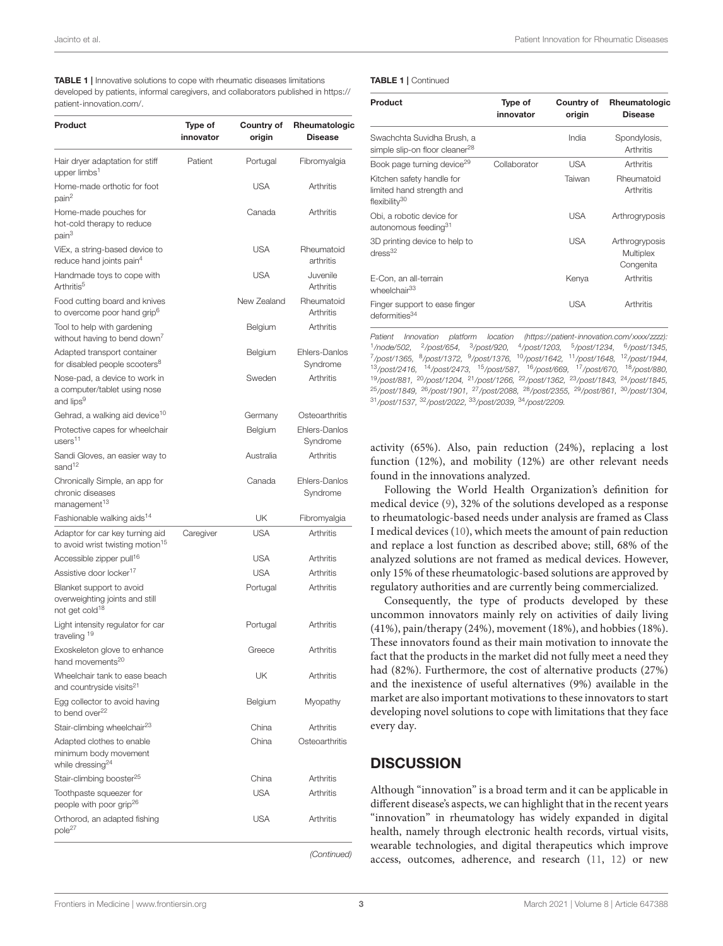<span id="page-2-0"></span>

| <b>TABLE 1</b>   Innovative solutions to cope with rheumatic diseases limitations   |
|-------------------------------------------------------------------------------------|
| developed by patients, informal caregivers, and collaborators published in https:// |
| patient-innovation.com/.                                                            |

| Product                                                                                  | Type of<br>innovator | Country of<br>origin | Rheumatologic<br><b>Disease</b> |
|------------------------------------------------------------------------------------------|----------------------|----------------------|---------------------------------|
| Hair dryer adaptation for stiff<br>upper limbs <sup>1</sup>                              | Patient              | Portugal             | Fibromyalgia                    |
| Home-made orthotic for foot<br>pain <sup>2</sup>                                         |                      | <b>USA</b>           | Arthritis                       |
| Home-made pouches for<br>hot-cold therapy to reduce<br>pain <sup>3</sup>                 |                      | Canada               | Arthritis                       |
| ViEx, a string-based device to<br>reduce hand joints pain <sup>4</sup>                   |                      | <b>USA</b>           | Rheumatoid<br>arthritis         |
| Handmade toys to cope with<br>Arthritis <sup>5</sup>                                     |                      | <b>USA</b>           | Juvenile<br><b>Arthritis</b>    |
| Food cutting board and knives<br>to overcome poor hand grip <sup>b</sup>                 |                      | New Zealand          | Rheumatoid<br>Arthritis         |
| Tool to help with gardening<br>without having to bend down <sup>7</sup>                  |                      | Belgium              | Arthritis                       |
| Adapted transport container<br>for disabled people scooters <sup>8</sup>                 |                      | Belgium              | Ehlers-Danlos<br>Syndrome       |
| Nose-pad, a device to work in<br>a computer/tablet using nose<br>and lips <sup>9</sup>   |                      | Sweden               | <b>Arthritis</b>                |
| Gehrad, a walking aid device <sup>10</sup>                                               |                      | Germany              | Osteoarthritis                  |
| Protective capes for wheelchair<br>users <sup>11</sup>                                   |                      | Belgium              | Ehlers-Danlos<br>Svndrome       |
| Sandi Gloves, an easier way to<br>sand <sup>12</sup>                                     |                      | Australia            | Arthritis                       |
| Chronically Simple, an app for<br>chronic diseases<br>management <sup>13</sup>           |                      | Canada               | Ehlers-Danlos<br>Syndrome       |
| Fashionable walking aids <sup>14</sup>                                                   |                      | UK                   | Fibromyalgia                    |
| Adaptor for car key turning aid<br>to avoid wrist twisting motion <sup>15</sup>          | Caregiver            | <b>USA</b>           | Arthritis                       |
| Accessible zipper pull <sup>16</sup>                                                     |                      | USA                  | Arthritis                       |
| Assistive door locker <sup>17</sup>                                                      |                      | <b>USA</b>           | Arthritis                       |
| Blanket support to avoid<br>overweighting joints and still<br>not get cold <sup>18</sup> |                      | Portugal             | Arthritis                       |
| Light intensity regulator for car<br>traveling <sup>19</sup>                             |                      | Portugal             | Arthritis                       |
| Exoskeleton glove to enhance<br>hand movements <sup>20</sup>                             |                      | Greece               | Arthritis                       |
| Wheelchair tank to ease beach<br>and countryside visits <sup>21</sup>                    |                      | UK                   | Arthritis                       |
| Egg collector to avoid having<br>to bend over <sup>22</sup>                              |                      | Belgium              | Myopathy                        |
| Stair-climbing wheelchair <sup>23</sup>                                                  |                      | China                | Arthritis                       |
| Adapted clothes to enable<br>minimum body movement<br>while dressing <sup>24</sup>       |                      | China                | Osteoarthritis                  |
| Stair-climbing booster <sup>25</sup>                                                     |                      | China                | Arthritis                       |
| Toothpaste squeezer for<br>people with poor grip <sup>26</sup>                           |                      | <b>USA</b>           | Arthritis                       |
| Orthorod, an adapted fishing<br>pole <sup>27</sup>                                       |                      | USA                  | Arthritis                       |

(Continued)

#### TABLE 1 | Continued

| Product                                                                             | Type of<br>innovator | Country of<br>origin | Rheumatologic<br><b>Disease</b>                 |
|-------------------------------------------------------------------------------------|----------------------|----------------------|-------------------------------------------------|
| Swachchta Suvidha Brush, a<br>simple slip-on floor cleaner <sup>28</sup>            |                      | India                | Spondylosis,<br>Arthritis                       |
| Book page turning device <sup>29</sup>                                              | Collaborator         | <b>USA</b>           | Arthritis                                       |
| Kitchen safety handle for<br>limited hand strength and<br>flexibility <sup>30</sup> |                      | Taiwan               | Rheumatoid<br>Arthritis                         |
| Obi, a robotic device for<br>autonomous feeding <sup>31</sup>                       |                      | <b>USA</b>           | Arthrogryposis                                  |
| 3D printing device to help to<br>$d$ ress <sup>32</sup>                             |                      | <b>USA</b>           | Arthrogryposis<br><b>Multiplex</b><br>Congenita |
| E-Con, an all-terrain<br>wheelchair <sup>33</sup>                                   |                      | Kenya                | Arthritis                                       |
| Finger support to ease finger<br>deformities <sup>34</sup>                          |                      | <b>USA</b>           | Arthritis                                       |

Patient Innovation platform location [\(https://patient-innovation.com/xxxx/zzzz\)](https://patient-innovation.com/xxxx/zzzz): <sup>1</sup>/node/502, <sup>2</sup>/post/654, <sup>3</sup>/post/920, <sup>4</sup>/post/1203, <sup>5</sup>/post/1234, <sup>6</sup>/post/1345, <sup>7</sup>/post/1365, <sup>8</sup>/post/1372, <sup>9</sup>/post/1376, <sup>10</sup>/post/1642, <sup>11</sup>/post/1648, <sup>12</sup>/post/1944, <sup>13</sup>/post/2416, <sup>14</sup>/post/2473, <sup>15</sup>/post/587, <sup>16</sup>/post/669, <sup>17</sup>/post/670, <sup>18</sup>/post/880, <sup>19</sup>/post/881, <sup>20</sup>/post/1204, <sup>21</sup>/post/1266, <sup>22</sup>/post/1362, <sup>23</sup>/post/1843, <sup>24</sup>/post/1845, <sup>25</sup>/post/1849, <sup>26</sup>/post/1901, <sup>27</sup>/post/2088, <sup>28</sup>/post/2355, <sup>29</sup>/post/861, <sup>30</sup>/post/1304, <sup>31</sup>/post/1537, <sup>32</sup>/post/2022, <sup>33</sup>/post/2039, <sup>34</sup>/post/2209.

activity (65%). Also, pain reduction (24%), replacing a lost function (12%), and mobility (12%) are other relevant needs found in the innovations analyzed.

Following the World Health Organization's definition for medical device [\(9\)](#page-4-8), 32% of the solutions developed as a response to rheumatologic-based needs under analysis are framed as Class I medical devices [\(10\)](#page-4-9), which meets the amount of pain reduction and replace a lost function as described above; still, 68% of the analyzed solutions are not framed as medical devices. However, only 15% of these rheumatologic-based solutions are approved by regulatory authorities and are currently being commercialized.

Consequently, the type of products developed by these uncommon innovators mainly rely on activities of daily living (41%), pain/therapy (24%), movement (18%), and hobbies (18%). These innovators found as their main motivation to innovate the fact that the products in the market did not fully meet a need they had (82%). Furthermore, the cost of alternative products (27%) and the inexistence of useful alternatives (9%) available in the market are also important motivations to these innovators to start developing novel solutions to cope with limitations that they face every day.

## **DISCUSSION**

Although "innovation" is a broad term and it can be applicable in different disease's aspects, we can highlight that in the recent years "innovation" in rheumatology has widely expanded in digital health, namely through electronic health records, virtual visits, wearable technologies, and digital therapeutics which improve access, outcomes, adherence, and research [\(11,](#page-4-10) [12\)](#page-4-11) or new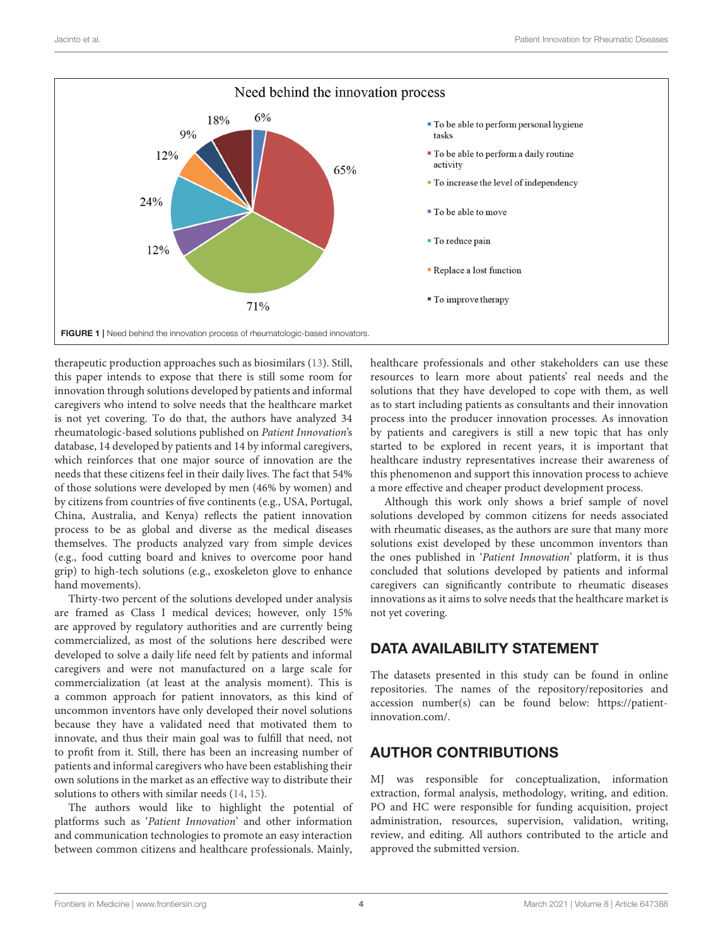

<span id="page-3-0"></span>therapeutic production approaches such as biosimilars [\(13\)](#page-4-12). Still, this paper intends to expose that there is still some room for innovation through solutions developed by patients and informal caregivers who intend to solve needs that the healthcare market is not yet covering. To do that, the authors have analyzed 34 rheumatologic-based solutions published on Patient Innovation's database, 14 developed by patients and 14 by informal caregivers, which reinforces that one major source of innovation are the needs that these citizens feel in their daily lives. The fact that 54% of those solutions were developed by men (46% by women) and by citizens from countries of five continents (e.g., USA, Portugal, China, Australia, and Kenya) reflects the patient innovation process to be as global and diverse as the medical diseases themselves. The products analyzed vary from simple devices (e.g., food cutting board and knives to overcome poor hand grip) to high-tech solutions (e.g., exoskeleton glove to enhance hand movements).

Thirty-two percent of the solutions developed under analysis are framed as Class I medical devices; however, only 15% are approved by regulatory authorities and are currently being commercialized, as most of the solutions here described were developed to solve a daily life need felt by patients and informal caregivers and were not manufactured on a large scale for commercialization (at least at the analysis moment). This is a common approach for patient innovators, as this kind of uncommon inventors have only developed their novel solutions because they have a validated need that motivated them to innovate, and thus their main goal was to fulfill that need, not to profit from it. Still, there has been an increasing number of patients and informal caregivers who have been establishing their own solutions in the market as an effective way to distribute their solutions to others with similar needs [\(14,](#page-4-13) [15\)](#page-4-14).

The authors would like to highlight the potential of platforms such as 'Patient Innovation' and other information and communication technologies to promote an easy interaction between common citizens and healthcare professionals. Mainly, healthcare professionals and other stakeholders can use these resources to learn more about patients' real needs and the solutions that they have developed to cope with them, as well as to start including patients as consultants and their innovation process into the producer innovation processes. As innovation by patients and caregivers is still a new topic that has only started to be explored in recent years, it is important that healthcare industry representatives increase their awareness of this phenomenon and support this innovation process to achieve a more effective and cheaper product development process.

Although this work only shows a brief sample of novel solutions developed by common citizens for needs associated with rheumatic diseases, as the authors are sure that many more solutions exist developed by these uncommon inventors than the ones published in 'Patient Innovation' platform, it is thus concluded that solutions developed by patients and informal caregivers can significantly contribute to rheumatic diseases innovations as it aims to solve needs that the healthcare market is not yet covering.

# DATA AVAILABILITY STATEMENT

The datasets presented in this study can be found in online repositories. The names of the repository/repositories and accession number(s) can be found below: [https://patient](https://patient-innovation.com/)[innovation.com/.](https://patient-innovation.com/)

# AUTHOR CONTRIBUTIONS

MJ was responsible for conceptualization, information extraction, formal analysis, methodology, writing, and edition. PO and HC were responsible for funding acquisition, project administration, resources, supervision, validation, writing, review, and editing. All authors contributed to the article and approved the submitted version.